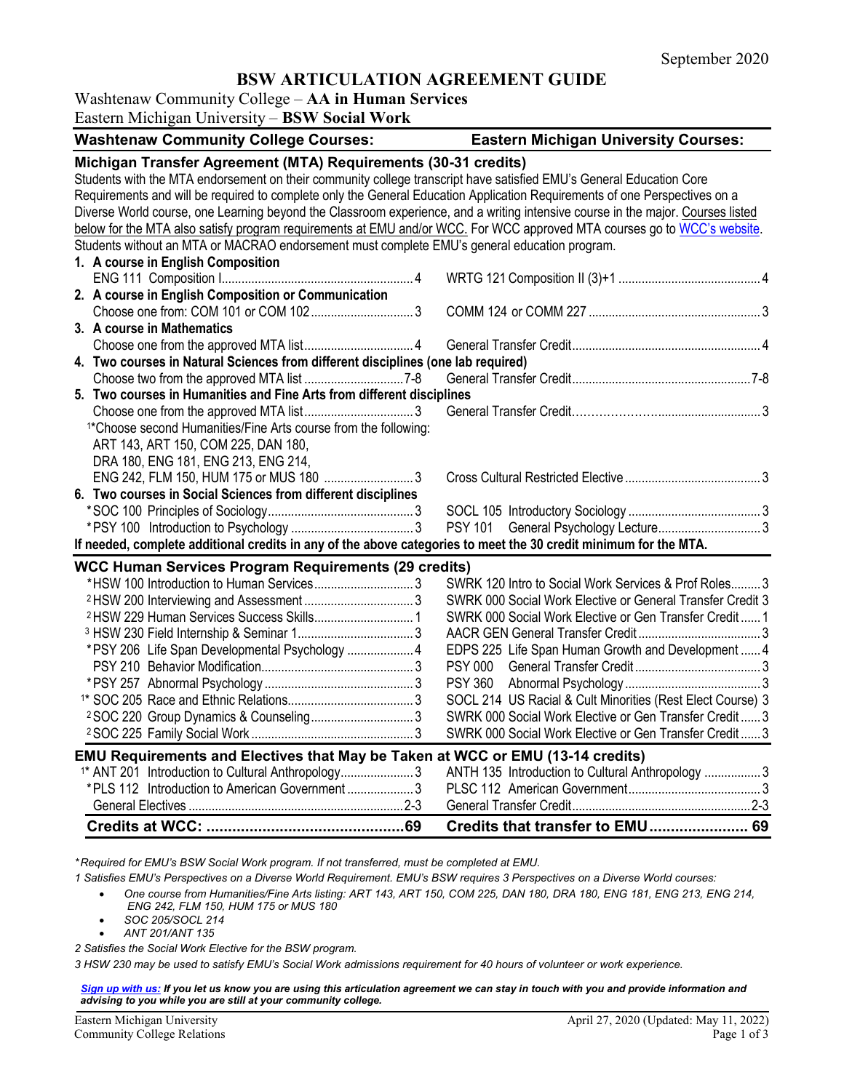## **BSW ARTICULATION AGREEMENT GUIDE**

## Washtenaw Community College – **AA in Human Services**

Eastern Michigan University – **BSW Social Work**

| <b>Washtenaw Community College Courses:</b>                                                                                     | <b>Eastern Michigan University Courses:</b>                |  |
|---------------------------------------------------------------------------------------------------------------------------------|------------------------------------------------------------|--|
| Michigan Transfer Agreement (MTA) Requirements (30-31 credits)                                                                  |                                                            |  |
| Students with the MTA endorsement on their community college transcript have satisfied EMU's General Education Core             |                                                            |  |
| Requirements and will be required to complete only the General Education Application Requirements of one Perspectives on a      |                                                            |  |
| Diverse World course, one Learning beyond the Classroom experience, and a writing intensive course in the major. Courses listed |                                                            |  |
| below for the MTA also satisfy program requirements at EMU and/or WCC. For WCC approved MTA courses go to WCC's website.        |                                                            |  |
| Students without an MTA or MACRAO endorsement must complete EMU's general education program.                                    |                                                            |  |
| 1. A course in English Composition                                                                                              |                                                            |  |
|                                                                                                                                 |                                                            |  |
| 2. A course in English Composition or Communication                                                                             |                                                            |  |
|                                                                                                                                 |                                                            |  |
| 3. A course in Mathematics                                                                                                      |                                                            |  |
|                                                                                                                                 |                                                            |  |
| 4. Two courses in Natural Sciences from different disciplines (one lab required)                                                |                                                            |  |
|                                                                                                                                 |                                                            |  |
| 5. Two courses in Humanities and Fine Arts from different disciplines                                                           |                                                            |  |
|                                                                                                                                 |                                                            |  |
| <sup>1*</sup> Choose second Humanities/Fine Arts course from the following:                                                     |                                                            |  |
| ART 143, ART 150, COM 225, DAN 180,                                                                                             |                                                            |  |
| DRA 180, ENG 181, ENG 213, ENG 214,                                                                                             |                                                            |  |
| ENG 242, FLM 150, HUM 175 or MUS 180 3                                                                                          |                                                            |  |
| 6. Two courses in Social Sciences from different disciplines                                                                    |                                                            |  |
|                                                                                                                                 |                                                            |  |
|                                                                                                                                 |                                                            |  |
| If needed, complete additional credits in any of the above categories to meet the 30 credit minimum for the MTA.                |                                                            |  |
| <b>WCC Human Services Program Requirements (29 credits)</b>                                                                     |                                                            |  |
| *HSW 100 Introduction to Human Services3                                                                                        | SWRK 120 Intro to Social Work Services & Prof Roles 3      |  |
|                                                                                                                                 | SWRK 000 Social Work Elective or General Transfer Credit 3 |  |
|                                                                                                                                 | SWRK 000 Social Work Elective or Gen Transfer Credit 1     |  |
|                                                                                                                                 |                                                            |  |
| *PSY 206 Life Span Developmental Psychology  4                                                                                  | EDPS 225 Life Span Human Growth and Development  4         |  |
|                                                                                                                                 |                                                            |  |
|                                                                                                                                 |                                                            |  |
|                                                                                                                                 | SOCL 214 US Racial & Cult Minorities (Rest Elect Course) 3 |  |
| <sup>2</sup> SOC 220 Group Dynamics & Counseling3                                                                               | SWRK 000 Social Work Elective or Gen Transfer Credit 3     |  |
|                                                                                                                                 | SWRK 000 Social Work Elective or Gen Transfer Credit 3     |  |
|                                                                                                                                 |                                                            |  |
| EMU Requirements and Electives that May be Taken at WCC or EMU (13-14 credits)                                                  |                                                            |  |
| <sup>1*</sup> ANT 201 Introduction to Cultural Anthropology 3<br>*PLS 112 Introduction to American Government 3                 | ANTH 135 Introduction to Cultural Anthropology 3           |  |
|                                                                                                                                 |                                                            |  |
|                                                                                                                                 |                                                            |  |
|                                                                                                                                 | Credits that transfer to EMU 69                            |  |

*\* Required for EMU's BSW Social Work program. If not transferred, must be completed at EMU.* 

- *1 Satisfies EMU's Perspectives on a Diverse World Requirement. EMU's BSW requires 3 Perspectives on a Diverse World courses:*
	- *One course from Humanities/Fine Arts listing: ART 143, ART 150, COM 225, DAN 180, DRA 180, ENG 181, ENG 213, ENG 214, ENG 242, FLM 150, HUM 175 or MUS 180*
	- *SOC 205/SOCL 214* • *ANT 201/ANT 135*
- *2 Satisfies the Social Work Elective for the BSW program.*

*3 HSW 230 may be used to satisfy EMU's Social Work admissions requirement for 40 hours of volunteer or work experience.*

#### *[Sign up with us:](https://www.emich.edu/ccr/articulation-agreements/signup.php) If you let us know you are using this articulation agreement we can stay in touch with you and provide information and advising to you while you are still at your community college.*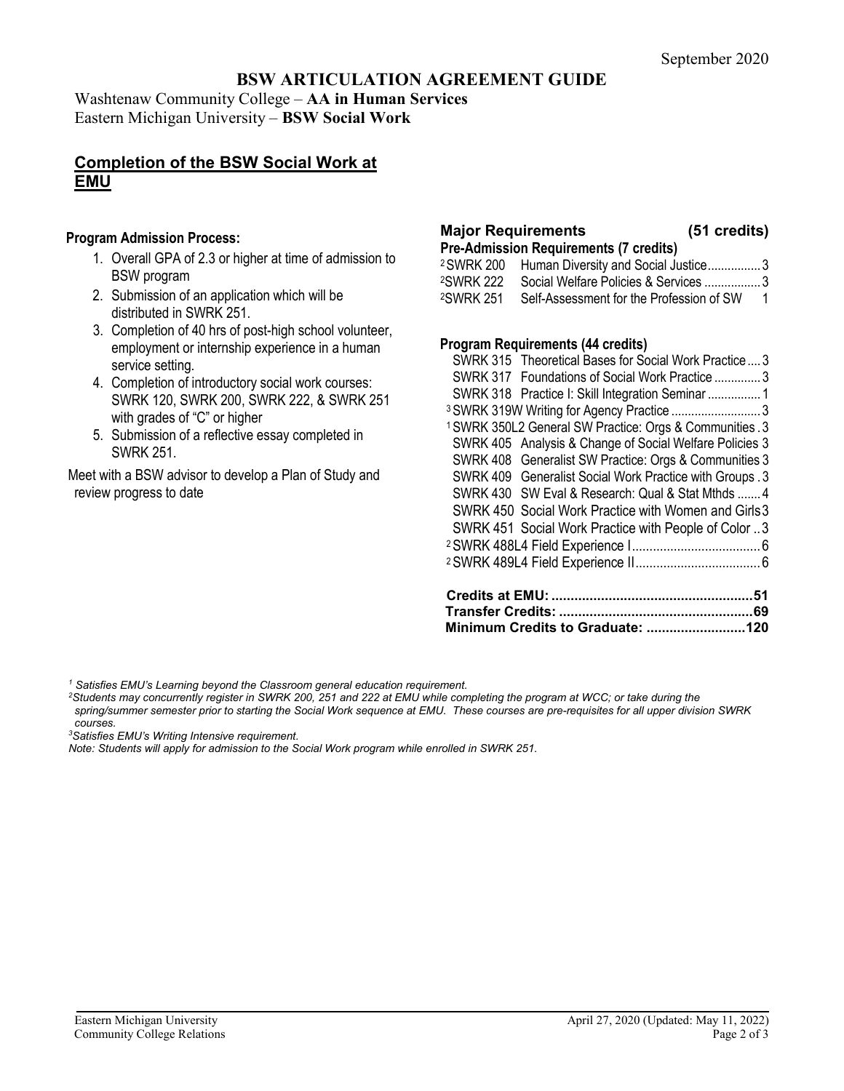## **BSW ARTICULATION AGREEMENT GUIDE**

Washtenaw Community College – **AA in Human Services** Eastern Michigan University – **BSW Social Work**

## **Completion of the BSW Social Work at EMU**

#### **Program Admission Process:**

- 1. Overall GPA of 2.3 or higher at time of admission to BSW program
- 2. Submission of an application which will be distributed in SWRK 251.
- 3. Completion of 40 hrs of post-high school volunteer, employment or internship experience in a human service setting.
- 4. Completion of introductory social work courses: SWRK 120, SWRK 200, SWRK 222, & SWRK 251 with grades of "C" or higher
- 5. Submission of a reflective essay completed in SWRK 251.

Meet with a BSW advisor to develop a Plan of Study and review progress to date

# **Major Requirements (51 credits)**

- **Pre-Admission Requirements (7 credits)**<br><sup>2</sup> SWRK 200 Human Diversity and Social Ju Human Diversity and Social Justice................. 3
- 2SWRK 222 Social Welfare Policies & Services ................. 3 2SWRK 251 Self-Assessment for the Profession of SW 1

## **Program Requirements (44 credits)**

| SWRK 451 Social Work Practice with People of Color 3                |  |
|---------------------------------------------------------------------|--|
| SWRK 450 Social Work Practice with Women and Girls 3                |  |
| SWRK 430 SW Eval & Research: Qual & Stat Mthds 4                    |  |
| SWRK 409 Generalist Social Work Practice with Groups . 3            |  |
| SWRK 408 Generalist SW Practice: Orgs & Communities 3               |  |
| SWRK 405 Analysis & Change of Social Welfare Policies 3             |  |
| <sup>1</sup> SWRK 350L2 General SW Practice: Orgs & Communities . 3 |  |
| <sup>3</sup> SWRK 319W Writing for Agency Practice  3               |  |
| SWRK 318 Practice I: Skill Integration Seminar 1                    |  |
| SWRK 317 Foundations of Social Work Practice 3                      |  |
| SWRK 315 Theoretical Bases for Social Work Practice3                |  |
|                                                                     |  |

*<sup>1</sup> Satisfies EMU's Learning beyond the Classroom general education requirement.*

*2 Students may concurrently register in SWRK 200, 251 and 222 at EMU while completing the program at WCC; or take during the spring/summer semester prior to starting the Social Work sequence at EMU. These courses are pre-requisites for all upper division SWRK courses.* 

*3 Satisfies EMU's Writing Intensive requirement.*

*Note: Students will apply for admission to the Social Work program while enrolled in SWRK 251.*